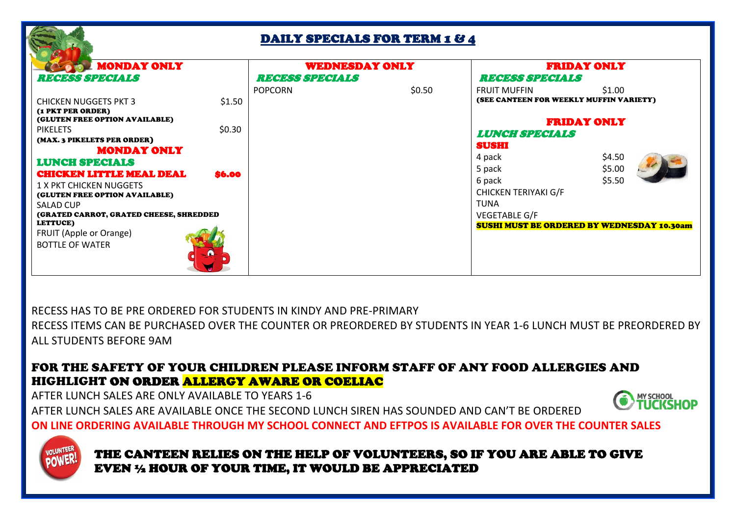## DAILY SPECIALS FOR TERM 1 & 4

| <b>MONDAY ONLY</b>                                  |                | <b>WEDNESDAY ONLY</b>          |  | <b>FRIDAY ONLY</b>                                |        |  |  |
|-----------------------------------------------------|----------------|--------------------------------|--|---------------------------------------------------|--------|--|--|
| <i><b>REQUESS SPECIALS</b></i>                      |                | <i><b>REQUESS SPECIALS</b></i> |  | <b>RECESS SPECIALS</b>                            |        |  |  |
|                                                     | <b>POPCORN</b> | \$0.50                         |  | <b>FRUIT MUFFIN</b>                               | \$1.00 |  |  |
| <b>CHICKEN NUGGETS PKT 3</b>                        | \$1.50         |                                |  | (SEE CANTEEN FOR WEEKLY MUFFIN VARIETY)           |        |  |  |
| (1 PKT PER ORDER)<br>(GLUTEN FREE OPTION AVAILABLE) |                |                                |  | <b>FRIDAY ONLY</b>                                |        |  |  |
| \$0.30<br><b>PIKELETS</b>                           |                |                                |  | <b>LUNCH SPECIALS</b>                             |        |  |  |
| (MAX. 3 PIKELETS PER ORDER)                         |                |                                |  | SUSHI                                             |        |  |  |
| <b>MONDAY ONLY</b>                                  |                |                                |  |                                                   |        |  |  |
| <b>LUNCH SPECIALS</b>                               |                |                                |  | 4 pack                                            | \$4.50 |  |  |
| <b>CHICKEN LITTLE MEAL DEAL</b><br>\$6.00           |                |                                |  | 5 pack                                            | \$5.00 |  |  |
| 1 X PKT CHICKEN NUGGETS                             |                |                                |  | 6 pack                                            | \$5.50 |  |  |
| (GLUTEN FREE OPTION AVAILABLE)                      |                |                                |  | <b>CHICKEN TERIYAKI G/F</b>                       |        |  |  |
| <b>SALAD CUP</b>                                    |                |                                |  | <b>TUNA</b>                                       |        |  |  |
| (GRATED CARROT, GRATED CHEESE, SHREDDED             |                |                                |  | VEGETABLE G/F                                     |        |  |  |
| LETTUCE)<br>FRUIT (Apple or Orange)                 |                |                                |  | <b>SUSHI MUST BE ORDERED BY WEDNESDAY 10.30am</b> |        |  |  |
|                                                     |                |                                |  |                                                   |        |  |  |
| <b>BOTTLE OF WATER</b>                              |                |                                |  |                                                   |        |  |  |

RECESS HAS TO BE PRE ORDERED FOR STUDENTS IN KINDY AND PRE-PRIMARY RECESS ITEMS CAN BE PURCHASED OVER THE COUNTER OR PREORDERED BY STUDENTS IN YEAR 1-6 LUNCH MUST BE PREORDERED BY ALL STUDENTS BEFORE 9AM

## FOR THE SAFETY OF YOUR CHILDREN PLEASE INFORM STAFF OF ANY FOOD ALLERGIES AND HIGHLIGHT ON ORDER ALLERGY AWARE OR COELIAC

AFTER LUNCH SALES ARE ONLY AVAILABLE TO YEARS 1-6

AFTER LUNCH SALES ARE AVAILABLE ONCE THE SECOND LUNCH SIREN HAS SOUNDED AND CAN'T BE ORDERED



**ON LINE ORDERING AVAILABLE THROUGH MY SCHOOL CONNECT AND EFTPOS IS AVAILABLE FOR OVER THE COUNTER SALES**



 THE CANTEEN RELIES ON THE HELP OF VOLUNTEERS, SO IF YOU ARE ABLE TO GIVE EVEN ½ HOUR OF YOUR TIME, IT WOULD BE APPRECIATED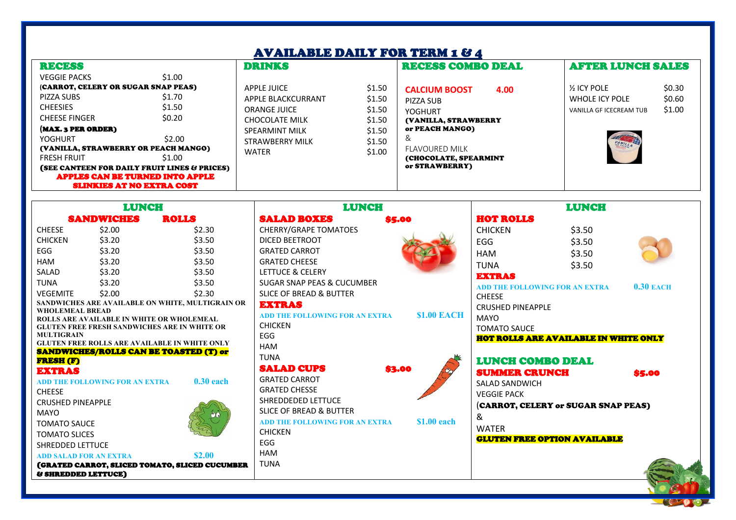## AVAILABLE DAILY FOR TERM 1 & 4

| AVADDADID DADI I YUN LENIN I YA                                                                                            |                            |                                                                                          |                                      |                                                                                                                  |                                                                  |                            |  |  |
|----------------------------------------------------------------------------------------------------------------------------|----------------------------|------------------------------------------------------------------------------------------|--------------------------------------|------------------------------------------------------------------------------------------------------------------|------------------------------------------------------------------|----------------------------|--|--|
| <b>RECESS</b>                                                                                                              |                            | <b>DRINKS</b>                                                                            |                                      | <b>RECESS COMBO DEAL</b>                                                                                         | <b>AFTER LUNCH SALES</b>                                         |                            |  |  |
| <b>VEGGIE PACKS</b>                                                                                                        | \$1.00                     |                                                                                          |                                      |                                                                                                                  |                                                                  |                            |  |  |
| (CARROT, CELERY OR SUGAR SNAP PEAS)<br>PIZZA SUBS<br><b>CHEESIES</b>                                                       | \$1.70<br>\$1.50           | APPLE JUICE<br>APPLE BLACKCURRANT<br><b>ORANGE JUICE</b>                                 | \$1.50<br>\$1.50<br>\$1.50           | <b>CALCIUM BOOST</b><br>4.00<br>PIZZA SUB<br>YOGHURT                                                             | <b>1/2 ICY POLE</b><br>WHOLE ICY POLE<br>VANILLA GF ICECREAM TUB | \$0.30<br>\$0.60<br>\$1.00 |  |  |
| <b>CHEESE FINGER</b><br>(MAX. 3 PER ORDER)<br>YOGHURT<br>(VANILLA, STRAWBERRY OR PEACH MANGO)<br><b>FRESH FRUIT</b>        | \$0.20<br>\$2.00<br>\$1.00 | <b>CHOCOLATE MILK</b><br><b>SPEARMINT MILK</b><br><b>STRAWBERRY MILK</b><br><b>WATER</b> | \$1.50<br>\$1.50<br>\$1.50<br>\$1.00 | (VANILLA, STRAWBERRY<br>or PEACH MANGO)<br>&<br><b>FLAVOURED MILK</b><br>(CHOCOLATE, SPEARMINT<br>or STRAWBERRY) | A.<br>VANILLA                                                    |                            |  |  |
| (SEE CANTEEN FOR DAILY FRUIT LINES & PRICES)<br><b>APPLES CAN BE TURNED INTO APPLE</b><br><b>SLINKIES AT NO EXTRA COST</b> |                            |                                                                                          |                                      |                                                                                                                  |                                                                  |                            |  |  |

| <b>LUNCH</b>                                   |                                                  | <b>LUNCH</b>                                                                                          |                                       | <b>LUNCH</b>       |                                       |        |             |
|------------------------------------------------|--------------------------------------------------|-------------------------------------------------------------------------------------------------------|---------------------------------------|--------------------|---------------------------------------|--------|-------------|
|                                                | <b>SANDWICHES</b>                                | <b>ROLLS</b>                                                                                          | <b>SALAD BOXES</b>                    | \$5.00             | <b>HOT ROLLS</b>                      |        |             |
| <b>CHEESE</b>                                  | \$2.00                                           | \$2.30                                                                                                | <b>CHERRY/GRAPE TOMATOES</b>          |                    | <b>CHICKEN</b>                        | \$3.50 |             |
| <b>CHICKEN</b>                                 | \$3.20                                           | \$3.50                                                                                                | DICED BEETROOT                        |                    | EGG                                   | \$3.50 |             |
| EGG                                            | \$3.20                                           | \$3.50                                                                                                | <b>GRATED CARROT</b>                  |                    | <b>HAM</b>                            | \$3.50 |             |
| <b>HAM</b>                                     | \$3.20                                           | \$3.50                                                                                                | <b>GRATED CHEESE</b>                  |                    | <b>TUNA</b>                           | \$3.50 |             |
| SALAD                                          | \$3.20                                           | \$3.50                                                                                                | LETTUCE & CELERY                      |                    | <b>EXTRAS</b>                         |        |             |
| <b>TUNA</b>                                    | \$3.20                                           | \$3.50                                                                                                | <b>SUGAR SNAP PEAS &amp; CUCUMBER</b> |                    | <b>ADD THE FOLLOWING FOR AN EXTRA</b> |        | $0.30$ EACH |
| <b>VEGEMITE</b>                                | \$2.00                                           | \$2.30                                                                                                | <b>SLICE OF BREAD &amp; BUTTER</b>    |                    | <b>CHEESE</b>                         |        |             |
|                                                |                                                  | SANDWICHES ARE AVAILABLE ON WHITE, MULTIGRAIN OR                                                      | <b>EXTRAS</b>                         |                    | <b>CRUSHED PINEAPPLE</b>              |        |             |
| <b>WHOLEMEAL BREAD</b>                         | <b>ROLLS ARE AVAILABLE IN WHITE OR WHOLEMEAL</b> |                                                                                                       | <b>ADD THE FOLLOWING FOR AN EXTRA</b> | <b>\$1.00 EACH</b> | <b>MAYO</b>                           |        |             |
|                                                |                                                  | <b>GLUTEN FREE FRESH SANDWICHES ARE IN WHITE OR</b>                                                   | <b>CHICKEN</b>                        |                    | <b>TOMATO SAUCE</b>                   |        |             |
| <b>MULTIGRAIN</b>                              |                                                  |                                                                                                       | EGG                                   |                    | HOT ROLLS ARE AVAILABLE IN WHITE ONLY |        |             |
|                                                |                                                  | <b>GLUTEN FREE ROLLS ARE AVAILABLE IN WHITE ONLY</b><br><b>SANDWICHES/ROLLS CAN BE TOASTED (T) or</b> | HAM                                   |                    |                                       |        |             |
| <b>FRESH (F)</b>                               |                                                  |                                                                                                       | <b>TUNA</b>                           |                    | <b>LUNCH COMBO DEAL</b>               |        |             |
| <b>EXTRAS</b>                                  |                                                  |                                                                                                       | <b>SALAD CUPS</b>                     | \$3.00             | <b>SUMMER CRUNCH</b>                  |        | \$5.00      |
|                                                | <b>ADD THE FOLLOWING FOR AN EXTRA</b>            | $0.30$ each                                                                                           | <b>GRATED CARROT</b>                  |                    | <b>SALAD SANDWICH</b>                 |        |             |
| <b>CHEESE</b>                                  |                                                  |                                                                                                       | <b>GRATED CHESSE</b>                  |                    | <b>VEGGIE PACK</b>                    |        |             |
| <b>CRUSHED PINEAPPLE</b>                       |                                                  |                                                                                                       | SHREDDEDED LETTUCE                    |                    | (CARROT, CELERY or SUGAR SNAP PEAS)   |        |             |
| <b>MAYO</b>                                    |                                                  |                                                                                                       | <b>SLICE OF BREAD &amp; BUTTER</b>    |                    | &                                     |        |             |
| <b>TOMATO SAUCE</b>                            |                                                  |                                                                                                       | <b>ADD THE FOLLOWING FOR AN EXTRA</b> | \$1.00 each        |                                       |        |             |
| <b>TOMATO SLICES</b>                           |                                                  |                                                                                                       | <b>CHICKEN</b>                        |                    | <b>WATER</b>                          |        |             |
| SHREDDED LETTUCE                               |                                                  |                                                                                                       | EGG                                   |                    | <b>GLUTEN FREE OPTION AVAILABLE</b>   |        |             |
|                                                | <b>ADD SALAD FOR AN EXTRA</b>                    | \$2.00                                                                                                | <b>HAM</b>                            |                    |                                       |        |             |
| (GRATED CARROT, SLICED TOMATO, SLICED CUCUMBER |                                                  |                                                                                                       | <b>TUNA</b>                           |                    |                                       |        |             |
|                                                | <b>&amp; SHREDDED LETTUCE)</b>                   |                                                                                                       |                                       |                    |                                       |        |             |

 $\overline{\phantom{a}}$